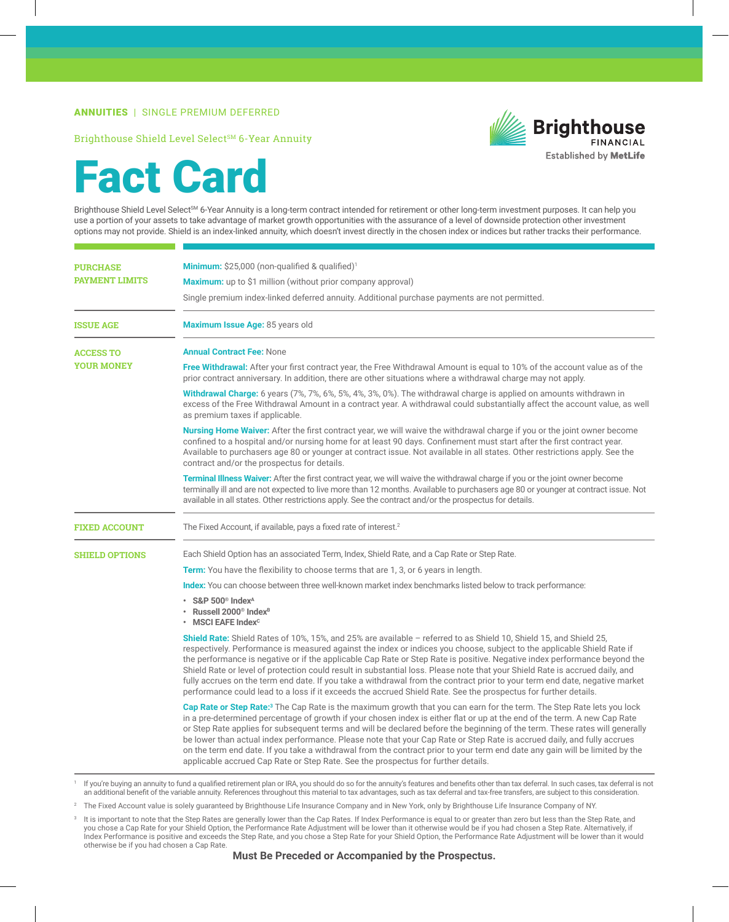## ANNUITIES | SINGLE PREMIUM DEFERRED

Brighthouse Shield Level Select<sup>SM</sup> 6-Year Annuity



## Fact Card

Brighthouse Shield Level Select<sup>SM</sup> 6-Year Annuity is a long-term contract intended for retirement or other long-term investment purposes. It can help you use a portion of your assets to take advantage of market growth opportunities with the assurance of a level of downside protection other investment options may not provide. Shield is an index-linked annuity, which doesn't invest directly in the chosen index or indices but rather tracks their performance.

| <b>PURCHASE</b><br><b>PAYMENT LIMITS</b> | <b>Minimum:</b> $$25,000$ (non-qualified & qualified) <sup>1</sup>                                                                                                                                                                                                                                                                                                                                                                                                                                                                                                                                                                                                                                                                                                  |
|------------------------------------------|---------------------------------------------------------------------------------------------------------------------------------------------------------------------------------------------------------------------------------------------------------------------------------------------------------------------------------------------------------------------------------------------------------------------------------------------------------------------------------------------------------------------------------------------------------------------------------------------------------------------------------------------------------------------------------------------------------------------------------------------------------------------|
|                                          | Maximum: up to \$1 million (without prior company approval)                                                                                                                                                                                                                                                                                                                                                                                                                                                                                                                                                                                                                                                                                                         |
|                                          | Single premium index-linked deferred annuity. Additional purchase payments are not permitted.                                                                                                                                                                                                                                                                                                                                                                                                                                                                                                                                                                                                                                                                       |
| <b>ISSUE AGE</b>                         | Maximum Issue Age: 85 years old                                                                                                                                                                                                                                                                                                                                                                                                                                                                                                                                                                                                                                                                                                                                     |
| <b>ACCESS TO</b>                         | <b>Annual Contract Fee: None</b>                                                                                                                                                                                                                                                                                                                                                                                                                                                                                                                                                                                                                                                                                                                                    |
| <b>YOUR MONEY</b>                        | <b>Free Withdrawal:</b> After your first contract year, the Free Withdrawal Amount is equal to 10% of the account value as of the<br>prior contract anniversary. In addition, there are other situations where a withdrawal charge may not apply.                                                                                                                                                                                                                                                                                                                                                                                                                                                                                                                   |
|                                          | Withdrawal Charge: 6 years (7%, 7%, 6%, 5%, 4%, 3%, 0%). The withdrawal charge is applied on amounts withdrawn in<br>excess of the Free Withdrawal Amount in a contract year. A withdrawal could substantially affect the account value, as well<br>as premium taxes if applicable.                                                                                                                                                                                                                                                                                                                                                                                                                                                                                 |
|                                          | <b>Nursing Home Waiver:</b> After the first contract year, we will waive the withdrawal charge if you or the joint owner become<br>confined to a hospital and/or nursing home for at least 90 days. Confinement must start after the first contract year.<br>Available to purchasers age 80 or younger at contract issue. Not available in all states. Other restrictions apply. See the<br>contract and/or the prospectus for details.                                                                                                                                                                                                                                                                                                                             |
|                                          | <b>Terminal Illness Waiver:</b> After the first contract year, we will waive the withdrawal charge if you or the joint owner become<br>terminally ill and are not expected to live more than 12 months. Available to purchasers age 80 or younger at contract issue. Not<br>available in all states. Other restrictions apply. See the contract and/or the prospectus for details.                                                                                                                                                                                                                                                                                                                                                                                  |
| <b>FIXED ACCOUNT</b>                     | The Fixed Account, if available, pays a fixed rate of interest. <sup>2</sup>                                                                                                                                                                                                                                                                                                                                                                                                                                                                                                                                                                                                                                                                                        |
| <b>SHIELD OPTIONS</b>                    | Each Shield Option has an associated Term, Index, Shield Rate, and a Cap Rate or Step Rate.                                                                                                                                                                                                                                                                                                                                                                                                                                                                                                                                                                                                                                                                         |
|                                          | <b>Term:</b> You have the flexibility to choose terms that are 1, 3, or 6 years in length.                                                                                                                                                                                                                                                                                                                                                                                                                                                                                                                                                                                                                                                                          |
|                                          | Index: You can choose between three well-known market index benchmarks listed below to track performance:                                                                                                                                                                                                                                                                                                                                                                                                                                                                                                                                                                                                                                                           |
|                                          | $\cdot$ S&P 500 <sup>®</sup> Index <sup>A</sup><br>Russell 2000 <sup>®</sup> Index <sup>B</sup><br>$\cdot$ MSCI EAFE Index <sup>c</sup>                                                                                                                                                                                                                                                                                                                                                                                                                                                                                                                                                                                                                             |
|                                          | <b>Shield Rate:</b> Shield Rates of 10%, 15%, and 25% are available – referred to as Shield 10, Shield 15, and Shield 25,<br>respectively. Performance is measured against the index or indices you choose, subject to the applicable Shield Rate if<br>the performance is negative or if the applicable Cap Rate or Step Rate is positive. Negative index performance beyond the<br>Shield Rate or level of protection could result in substantial loss. Please note that your Shield Rate is accrued daily, and<br>fully accrues on the term end date. If you take a withdrawal from the contract prior to your term end date, negative market<br>performance could lead to a loss if it exceeds the accrued Shield Rate. See the prospectus for further details. |
|                                          | Cap Rate or Step Rate: <sup>3</sup> The Cap Rate is the maximum growth that you can earn for the term. The Step Rate lets you lock<br>in a pre-determined percentage of growth if your chosen index is either flat or up at the end of the term. A new Cap Rate<br>or Step Rate applies for subsequent terms and will be declared before the beginning of the term. These rates will generally<br>be lower than actual index performance. Please note that your Cap Rate or Step Rate is accrued daily, and fully accrues<br>on the term end date. If you take a withdrawal from the contract prior to your term end date any gain will be limited by the<br>applicable accrued Cap Rate or Step Rate. See the prospectus for further details.                      |
|                                          |                                                                                                                                                                                                                                                                                                                                                                                                                                                                                                                                                                                                                                                                                                                                                                     |

If you're buying an annuity to fund a qualified retirement plan or IRA, you should do so for the annuity's features and benefits other than tax deferral. In such cases, tax deferral is not an additional benefit of the variable annuity. References throughout this material to tax advantages, such as tax deferral and tax-free transfers, are subject to this consideration.

<sup>2</sup> The Fixed Account value is solely guaranteed by Brighthouse Life Insurance Company and in New York, only by Brighthouse Life Insurance Company of NY.

<sup>&</sup>lt;sup>3</sup> It is important to note that the Step Rates are generally lower than the Cap Rates. If Index Performance is equal to or greater than zero but less than the Step Rate, and you chose a Cap Rate for your Shield Option, the Performance Rate Adjustment will be lower than it otherwise would be if you had chosen a Step Rate. Alternatively, if Index Performance is positive and exceeds the Step Rate, and you chose a Step Rate for your Shield Option, the Performance Rate Adjustment will be lower than it would otherwise be if you had chosen a Cap Rate.